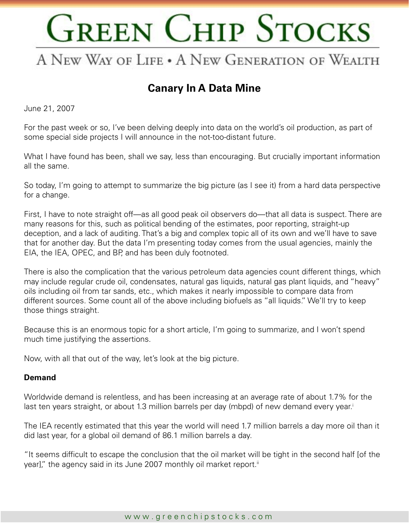### A NEW WAY OF LIFE . A NEW GENERATION OF WEALTH

### **Canary In A Data Mine**

June 21, 2007

For the past week or so, I've been delving deeply into data on the world's oil production, as part of some special side projects I will announce in the not-too-distant future.

What I have found has been, shall we say, less than encouraging. But crucially important information all the same.

So today, I'm going to attempt to summarize the big picture (as I see it) from a hard data perspective for a change.

First, I have to note straight off—as all good peak oil observers do—that all data is suspect. There are many reasons for this, such as political bending of the estimates, poor reporting, straight-up deception, and a lack of auditing. That's a big and complex topic all of its own and we'll have to save that for another day. But the data I'm presenting today comes from the usual agencies, mainly the EIA, the IEA, OPEC, and BP, and has been duly footnoted.

There is also the complication that the various petroleum data agencies count different things, which may include regular crude oil, condensates, natural gas liquids, natural gas plant liquids, and "heavy" oils including oil from tar sands, etc., which makes it nearly impossible to compare data from different sources. Some count all of the above including biofuels as "all liquids." We'll try to keep those things straight.

Because this is an enormous topic for a short article, I'm going to summarize, and I won't spend much time justifying the assertions.

Now, with all that out of the way, let's look at the big picture.

#### **Demand**

Worldwide demand is relentless, and has been increasing at an average rate of about 1.7% for the last ten years straight, or about 1.3 million barrels per day (mbpd) of new demand every year.<sup>i</sup>

The IEA recently estimated that this year the world will need 1.7 million barrels a day more oil than it did last year, for a global oil demand of 86.1 million barrels a day.

"It seems difficult to escape the conclusion that the oil market will be tight in the second half [of the year]," the agency said in its June 2007 monthly oil market report.<sup>ii</sup>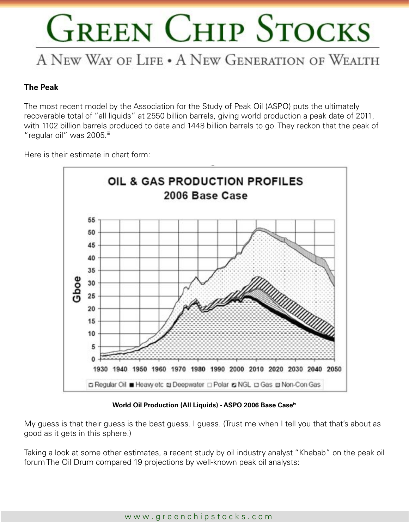### A NEW WAY OF LIFE . A NEW GENERATION OF WEALTH

#### **The Peak**

The most recent model by the Association for the Study of Peak Oil (ASPO) puts the ultimately recoverable total of "all liquids" at 2550 billion barrels, giving world production a peak date of 2011, with 1102 billion barrels produced to date and 1448 billion barrels to go. They reckon that the peak of "regular oil" was 2005.iii

Here is their estimate in chart form:



**World Oil Production (All Liquids) - ASPO 2006 Base Caseiv**

My guess is that their guess is the best guess. I guess. (Trust me when I tell you that that's about as good as it gets in this sphere.)

Taking a look at some other estimates, a recent study by oil industry analyst "Khebab" on the peak oil forum The Oil Drum compared 19 projections by well-known peak oil analysts: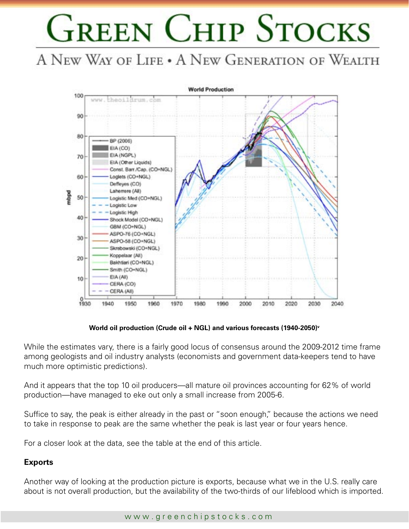A NEW WAY OF LIFE . A NEW GENERATION OF WEALTH



**World oil production (Crude oil + NGL) and various forecasts (1940-2050)v**

While the estimates vary, there is a fairly good locus of consensus around the 2009-2012 time frame among geologists and oil industry analysts (economists and government data-keepers tend to have much more optimistic predictions).

And it appears that the top 10 oil producers—all mature oil provinces accounting for 62% of world production—have managed to eke out only a small increase from 2005-6.

Suffice to say, the peak is either already in the past or "soon enough," because the actions we need to take in response to peak are the same whether the peak is last year or four years hence.

For a closer look at the data, see the table at the end of this article.

#### **Exports**

Another way of looking at the production picture is exports, because what we in the U.S. really care about is not overall production, but the availability of the two-thirds of our lifeblood which is imported.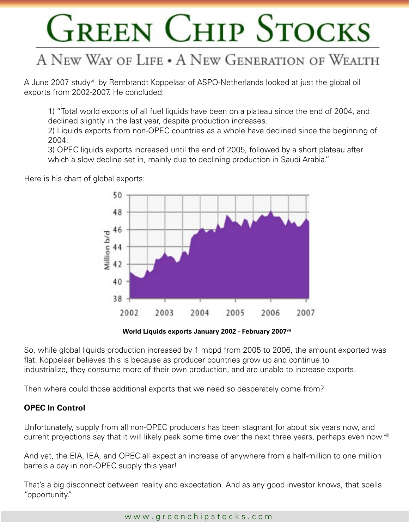## A NEW WAY OF LIFE . A NEW GENERATION OF WEALTH

A June 2007 studyvi by Rembrandt Koppelaar of ASPO-Netherlands looked at just the global oil exports from 2002-2007. He concluded:

 1) "Total world exports of all fuel liquids have been on a plateau since the end of 2004, and declined slightly in the last year, despite production increases.

 2) Liquids exports from non-OPEC countries as a whole have declined since the beginning of 2004.

 3) OPEC liquids exports increased until the end of 2005, followed by a short plateau after which a slow decline set in, mainly due to declining production in Saudi Arabia."

50 48 46 Willion b/d

44

42

40

38

2002

Here is his chart of global exports:



2005

2006

2007

2004

So, while global liquids production increased by 1 mbpd from 2005 to 2006, the amount exported was flat. Koppelaar believes this is because as producer countries grow up and continue to industrialize, they consume more of their own production, and are unable to increase exports.

Then where could those additional exports that we need so desperately come from?

2003

#### **OPEC In Control**

Unfortunately, supply from all non-OPEC producers has been stagnant for about six years now, and current projections say that it will likely peak some time over the next three years, perhaps even now.<sup>viii</sup>

And yet, the EIA, IEA, and OPEC all expect an increase of anywhere from a half-million to one million barrels a day in non-OPEC supply this year!

That's a big disconnect between reality and expectation. And as any good investor knows, that spells "opportunity."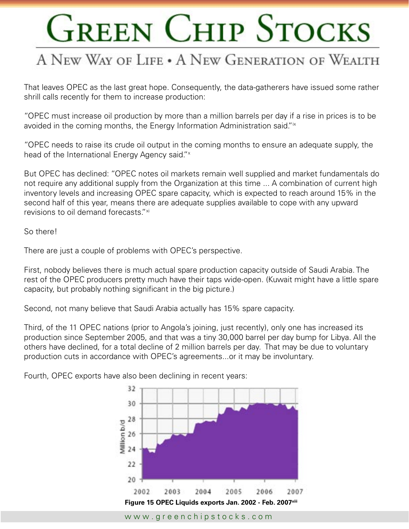## A NEW WAY OF LIFE . A NEW GENERATION OF WEALTH

That leaves OPEC as the last great hope. Consequently, the data-gatherers have issued some rather shrill calls recently for them to increase production:

"OPEC must increase oil production by more than a million barrels per day if a rise in prices is to be avoided in the coming months, the Energy Information Administration said."<sup>ix</sup>

"OPEC needs to raise its crude oil output in the coming months to ensure an adequate supply, the head of the International Energy Agency said." ×

But OPEC has declined: "OPEC notes oil markets remain well supplied and market fundamentals do not require any additional supply from the Organization at this time ... A combination of current high inventory levels and increasing OPEC spare capacity, which is expected to reach around 15% in the second half of this year, means there are adequate supplies available to cope with any upward revisions to oil demand forecasts."<sup>xi</sup>

So there!

There are just a couple of problems with OPEC's perspective.

First, nobody believes there is much actual spare production capacity outside of Saudi Arabia. The rest of the OPEC producers pretty much have their taps wide-open. (Kuwait might have a little spare capacity, but probably nothing significant in the big picture.)

Second, not many believe that Saudi Arabia actually has 15% spare capacity.

Third, of the 11 OPEC nations (prior to Angola's joining, just recently), only one has increased its production since September 2005, and that was a tiny 30,000 barrel per day bump for Libya. All the others have declined, for a total decline of 2 million barrels per day. That may be due to voluntary production cuts in accordance with OPEC's agreements...or it may be involuntary.

Fourth, OPEC exports have also been declining in recent years:

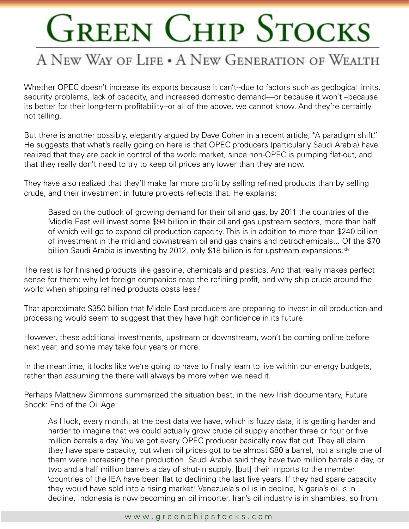### A NEW WAY OF LIFE . A NEW GENERATION OF WEALTH

Whether OPEC doesn't increase its exports because it can't--due to factors such as geological limits, security problems, lack of capacity, and increased domestic demand—or because it won't –because its better for their long-term profitability--or all of the above, we cannot know. And they're certainly not telling.

But there is another possibly, elegantly argued by Dave Cohen in a recent article, "A paradigm shift." He suggests that what's really going on here is that OPEC producers (particularly Saudi Arabia) have realized that they are back in control of the world market, since non-OPEC is pumping flat-out, and that they really don't need to try to keep oil prices any lower than they are now.

They have also realized that they'll make far more profit by selling refined products than by selling crude, and their investment in future projects reflects that. He explains:

 Based on the outlook of growing demand for their oil and gas, by 2011 the countries of the Middle East will invest some \$94 billion in their oil and gas upstream sectors, more than half of which will go to expand oil production capacity. This is in addition to more than \$240 billion of investment in the mid and downstream oil and gas chains and petrochemicals... Of the \$70 billion Saudi Arabia is investing by 2012, only \$18 billion is for upstream expansions. Xiv

The rest is for finished products like gasoline, chemicals and plastics. And that really makes perfect sense for them: why let foreign companies reap the refining profit, and why ship crude around the world when shipping refined products costs less?

That approximate \$350 billion that Middle East producers are preparing to invest in oil production and processing would seem to suggest that they have high confidence in its future.

However, these additional investments, upstream or downstream, won't be coming online before next year, and some may take four years or more.

In the meantime, it looks like we're going to have to finally learn to live within our energy budgets, rather than assuming the there will always be more when we need it.

Perhaps Matthew Simmons summarized the situation best, in the new Irish documentary, Future Shock: End of the Oil Age:

As I look, every month, at the best data we have, which is fuzzy data, it is getting harder and harder to imagine that we could actually grow crude oil supply another three or four or five million barrels a day. You've got every OPEC producer basically now flat out. They all claim they have spare capacity, but when oil prices got to be almost \$80 a barrel, not a single one of them were increasing their production. Saudi Arabia said they have two million barrels a day, or two and a half million barrels a day of shut-in supply, [but] their imports to the member \countries of the IEA have been flat to declining the last five years. If they had spare capacity they would have sold into a rising market! Venezuela's oil is in decline, Nigeria's oil is in decline, Indonesia is now becoming an oil importer, Iran's oil industry is in shambles, so from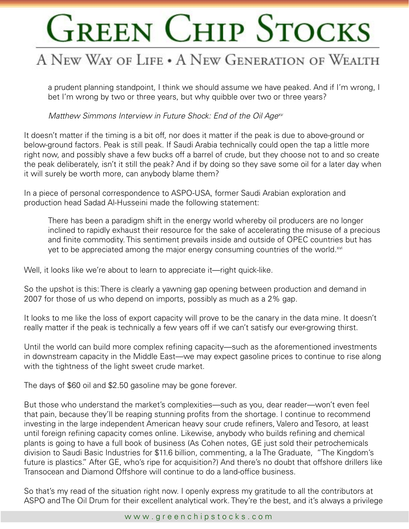### A NEW WAY OF LIFE . A NEW GENERATION OF WEALTH

a prudent planning standpoint, I think we should assume we have peaked. And if I'm wrong, I bet I'm wrong by two or three years, but why quibble over two or three years?

Matthew Simmons Interview in Future Shock: End of the Oil Age<sup>xv</sup>

It doesn't matter if the timing is a bit off, nor does it matter if the peak is due to above-ground or below-ground factors. Peak is still peak. If Saudi Arabia technically could open the tap a little more right now, and possibly shave a few bucks off a barrel of crude, but they choose not to and so create the peak deliberately, isn't it still the peak? And if by doing so they save some oil for a later day when it will surely be worth more, can anybody blame them?

In a piece of personal correspondence to ASPO-USA, former Saudi Arabian exploration and production head Sadad Al-Husseini made the following statement:

There has been a paradigm shift in the energy world whereby oil producers are no longer inclined to rapidly exhaust their resource for the sake of accelerating the misuse of a precious and finite commodity. This sentiment prevails inside and outside of OPEC countries but has yet to be appreciated among the major energy consuming countries of the world.<sup>xvi</sup>

Well, it looks like we're about to learn to appreciate it—right quick-like.

So the upshot is this: There is clearly a yawning gap opening between production and demand in 2007 for those of us who depend on imports, possibly as much as a 2% gap.

It looks to me like the loss of export capacity will prove to be the canary in the data mine. It doesn't really matter if the peak is technically a few years off if we can't satisfy our ever-growing thirst.

Until the world can build more complex refining capacity—such as the aforementioned investments in downstream capacity in the Middle East—we may expect gasoline prices to continue to rise along with the tightness of the light sweet crude market.

The days of \$60 oil and \$2.50 gasoline may be gone forever.

But those who understand the market's complexities—such as you, dear reader—won't even feel that pain, because they'll be reaping stunning profits from the shortage. I continue to recommend investing in the large independent American heavy sour crude refiners, Valero and Tesoro, at least until foreign refining capacity comes online. Likewise, anybody who builds refining and chemical plants is going to have a full book of business (As Cohen notes, GE just sold their petrochemicals division to Saudi Basic Industries for \$11.6 billion, commenting, a la The Graduate, "The Kingdom's future is plastics." After GE, who's ripe for acquisition?) And there's no doubt that offshore drillers like Transocean and Diamond Offshore will continue to do a land-office business.

So that's my read of the situation right now. I openly express my gratitude to all the contributors at ASPO and The Oil Drum for their excellent analytical work. They're the best, and it's always a privilege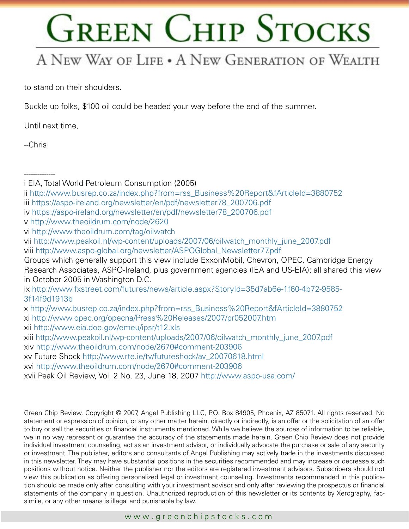### A NEW WAY OF LIFE . A NEW GENERATION OF WEALTH

to stand on their shoulders.

Buckle up folks, \$100 oil could be headed your way before the end of the summer.

Until next time,

 $-Christ$ 

--------------

- ii [http://www.busrep.co.za/index.php?from=rss\\_Business%20Report&fArticleId=3880752](http://www.busrep.co.za/index.php?from=rss_Business%20Report&fArticleId=3880752) iii [https://aspo-ireland.org/newsletter/en/pdf/newsletter78\\_200706.pdf](https://aspo-ireland.org/newsletter/en/pdf/newsletter78_200706.pdf)
- iv [https://aspo-ireland.org/newsletter/en/pdf/newsletter78\\_200706.pdf](https://aspo-ireland.org/newsletter/en/pdf/newsletter78_200706.pdf)

ix [http://www.fxstreet.com/futures/news/article.aspx?StoryId=35d7ab6e-1f60-4b72-9585-](http://www.fxstreet.com/futures/news/article.aspx?StoryId=35d7ab6e-1f60-4b72-9585-3f14f9d1913b) [3f14f9d1913b](http://www.fxstreet.com/futures/news/article.aspx?StoryId=35d7ab6e-1f60-4b72-9585-3f14f9d1913b)

xvii Peak Oil Review, Vol. 2 No. 23, June 18, 2007 <http://www.aspo-usa.com/>

Green Chip Review, Copyright © 2007, Angel Publishing LLC, P.O. Box 84905, Phoenix, AZ 85071. All rights reserved. No statement or expression of opinion, or any other matter herein, directly or indirectly, is an offer or the solicitation of an offer to buy or sell the securities or financial instruments mentioned. While we believe the sources of information to be reliable, we in no way represent or guarantee the accuracy of the statements made herein. Green Chip Review does not provide individual investment counseling, act as an investment advisor, or individually advocate the purchase or sale of any security or investment. The publisher, editors and consultants of Angel Publishing may actively trade in the investments discussed in this newsletter. They may have substantial positions in the securities recommended and may increase or decrease such positions without notice. Neither the publisher nor the editors are registered investment advisors. Subscribers should not view this publication as offering personalized legal or investment counseling. Investments recommended in this publication should be made only after consulting with your investment advisor and only after reviewing the prospectus or financial statements of the company in question. Unauthorized reproduction of this newsletter or its contents by Xerography, facsimile, or any other means is illegal and punishable by law.

i EIA, Total World Petroleum Consumption (2005)

v [http://www.theoildrum.com/node/2620](https://aspo-ireland.org/newsletter/en/pdf/newsletter78_200706.pdf)

vi <http://www.theoildrum.com/tag/oilwatch>

vii [http://www.peakoil.nl/wp-content/uploads/2007/06/oilwatch\\_monthly\\_june\\_2007.pdf](http://www.peakoil.nl/wp-content/uploads/2007/06/oilwatch_monthly_june_2007.pdf) viii [http://www.aspo-global.org/newsletter/ASPOGlobal\\_Newsletter77.pdf](http://www.aspo-global.org/newsletter/ASPOGlobal_Newsletter77.pdf)

Groups which generally support this view include ExxonMobil, Chevron, OPEC, Cambridge Energy Research Associates, ASPO-Ireland, plus government agencies (IEA and US-EIA); all shared this view in October 2005 in Washington D.C.

x [http://www.busrep.co.za/index.php?from=rss\\_Business%20Report&fArticleId=3880752](http://www.busrep.co.za/index.php?from=rss_Business%20Report&fArticleId=3880752) xi <http://www.opec.org/opecna/Press%20Releases/2007/pr052007.htm>

xii <http://www.eia.doe.gov/emeu/ipsr/t12.xls>

xiii [http://www.peakoil.nl/wp-content/uploads/2007/06/oilwatch\\_monthly\\_june\\_2007.pdf](http://www.peakoil.nl/wp-content/uploads/2007/06/oilwatch_monthly_june_2007.pdf)

xiv <http://www.theoildrum.com/node/2670#comment-203906>

xv [Future Shock http://www.rte.ie/tv/futureshock/av\\_20070618.html](Future Shock http://www.rte.ie/tv/futureshock/av_20070618.html)

xvi <http://www.theoildrum.com/node/2670#comment-203906>